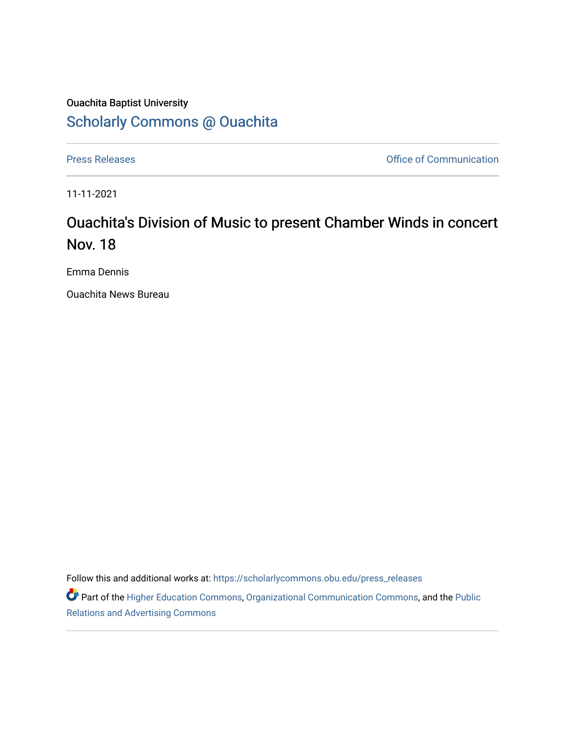# Ouachita Baptist University [Scholarly Commons @ Ouachita](https://scholarlycommons.obu.edu/)

[Press Releases](https://scholarlycommons.obu.edu/press_releases) **Press Releases Communication Press Releases Office of Communication** 

11-11-2021

# Ouachita's Division of Music to present Chamber Winds in concert Nov. 18

Emma Dennis

Ouachita News Bureau

Follow this and additional works at: [https://scholarlycommons.obu.edu/press\\_releases](https://scholarlycommons.obu.edu/press_releases?utm_source=scholarlycommons.obu.edu%2Fpress_releases%2F906&utm_medium=PDF&utm_campaign=PDFCoverPages)

Part of the [Higher Education Commons,](http://network.bepress.com/hgg/discipline/1245?utm_source=scholarlycommons.obu.edu%2Fpress_releases%2F906&utm_medium=PDF&utm_campaign=PDFCoverPages) [Organizational Communication Commons,](http://network.bepress.com/hgg/discipline/335?utm_source=scholarlycommons.obu.edu%2Fpress_releases%2F906&utm_medium=PDF&utm_campaign=PDFCoverPages) and the [Public](http://network.bepress.com/hgg/discipline/336?utm_source=scholarlycommons.obu.edu%2Fpress_releases%2F906&utm_medium=PDF&utm_campaign=PDFCoverPages) [Relations and Advertising Commons](http://network.bepress.com/hgg/discipline/336?utm_source=scholarlycommons.obu.edu%2Fpress_releases%2F906&utm_medium=PDF&utm_campaign=PDFCoverPages)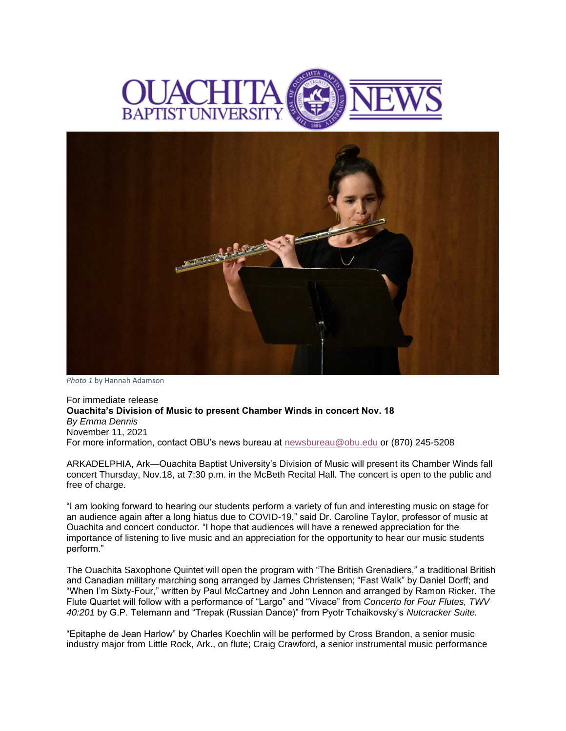



*Photo 1* by Hannah Adamson

For immediate release **Ouachita's Division of Music to present Chamber Winds in concert Nov. 18** *By Emma Dennis* November 11, 2021 For more information, contact OBU's news bureau at [newsbureau@obu.edu](mailto:newsbureau@obu.edu) or (870) 245-5208

ARKADELPHIA, Ark—Ouachita Baptist University's Division of Music will present its Chamber Winds fall concert Thursday, Nov.18, at 7:30 p.m. in the McBeth Recital Hall. The concert is open to the public and free of charge.

"I am looking forward to hearing our students perform a variety of fun and interesting music on stage for an audience again after a long hiatus due to COVID-19," said Dr. Caroline Taylor, professor of music at Ouachita and concert conductor. "I hope that audiences will have a renewed appreciation for the importance of listening to live music and an appreciation for the opportunity to hear our music students perform."

The Ouachita Saxophone Quintet will open the program with "The British Grenadiers," a traditional British and Canadian military marching song arranged by James Christensen; "Fast Walk" by Daniel Dorff; and "When I'm Sixty-Four," written by Paul McCartney and John Lennon and arranged by Ramon Ricker. The Flute Quartet will follow with a performance of "Largo" and "Vivace" from *Concerto for Four Flutes, TWV 40:201* by G.P. Telemann and "Trepak (Russian Dance)" from Pyotr Tchaikovsky's *Nutcracker Suite.*

"Epitaphe de Jean Harlow" by Charles Koechlin will be performed by Cross Brandon, a senior music industry major from Little Rock, Ark., on flute; Craig Crawford, a senior instrumental music performance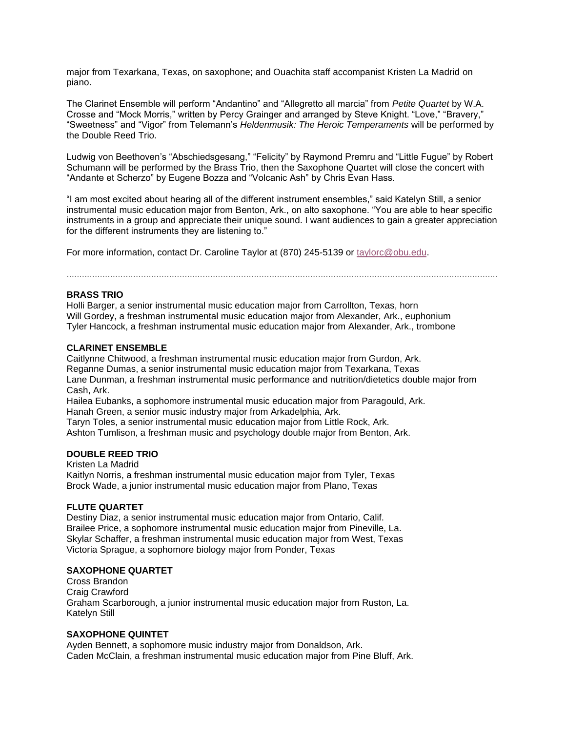major from Texarkana, Texas, on saxophone; and Ouachita staff accompanist Kristen La Madrid on piano.

The Clarinet Ensemble will perform "Andantino" and "Allegretto all marcia" from *Petite Quartet* by W.A. Crosse and "Mock Morris," written by Percy Grainger and arranged by Steve Knight. "Love," "Bravery," "Sweetness" and "Vigor" from Telemann's *Heldenmusik: The Heroic Temperaments* will be performed by the Double Reed Trio.

Ludwig von Beethoven's "Abschiedsgesang," "Felicity" by Raymond Premru and "Little Fugue" by Robert Schumann will be performed by the Brass Trio, then the Saxophone Quartet will close the concert with "Andante et Scherzo" by Eugene Bozza and "Volcanic Ash" by Chris Evan Hass.

"I am most excited about hearing all of the different instrument ensembles," said Katelyn Still, a senior instrumental music education major from Benton, Ark., on alto saxophone. "You are able to hear specific instruments in a group and appreciate their unique sound. I want audiences to gain a greater appreciation for the different instruments they are listening to."

For more information, contact Dr. Caroline Taylor at (870) 245-5139 or [taylorc@obu.edu.](mailto:taylorc@obu.edu)

........................................................................................................................................................................

### **BRASS TRIO**

Holli Barger, a senior instrumental music education major from Carrollton, Texas, horn Will Gordey, a freshman instrumental music education major from Alexander, Ark., euphonium Tyler Hancock, a freshman instrumental music education major from Alexander, Ark., trombone

#### **CLARINET ENSEMBLE**

Caitlynne Chitwood, a freshman instrumental music education major from Gurdon, Ark. Reganne Dumas, a senior instrumental music education major from Texarkana, Texas Lane Dunman, a freshman instrumental music performance and nutrition/dietetics double major from Cash, Ark.

Hailea Eubanks, a sophomore instrumental music education major from Paragould, Ark. Hanah Green, a senior music industry major from Arkadelphia, Ark. Taryn Toles, a senior instrumental music education major from Little Rock, Ark.

Ashton Tumlison, a freshman music and psychology double major from Benton, Ark.

#### **DOUBLE REED TRIO**

Kristen La Madrid Kaitlyn Norris, a freshman instrumental music education major from Tyler, Texas Brock Wade, a junior instrumental music education major from Plano, Texas

#### **FLUTE QUARTET**

Destiny Diaz, a senior instrumental music education major from Ontario, Calif. Brailee Price, a sophomore instrumental music education major from Pineville, La. Skylar Schaffer, a freshman instrumental music education major from West, Texas Victoria Sprague, a sophomore biology major from Ponder, Texas

#### **SAXOPHONE QUARTET**

Cross Brandon Craig Crawford Graham Scarborough, a junior instrumental music education major from Ruston, La. Katelyn Still

## **SAXOPHONE QUINTET**

Ayden Bennett, a sophomore music industry major from Donaldson, Ark. Caden McClain, a freshman instrumental music education major from Pine Bluff, Ark.